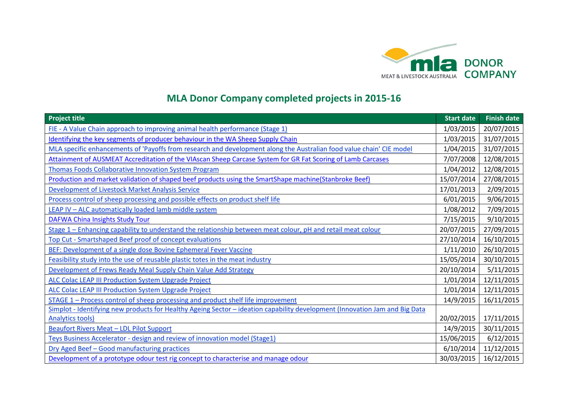

## **MLA Donor Company completed projects in 2015-16**

| <b>Project title</b>                                                                                                        | <b>Start date</b> | <b>Finish date</b> |
|-----------------------------------------------------------------------------------------------------------------------------|-------------------|--------------------|
| FIE - A Value Chain approach to improving animal health performance (Stage 1)                                               | 1/03/2015         | 20/07/2015         |
| Identifying the key segments of producer behaviour in the WA Sheep Supply Chain                                             | 1/03/2015         | 31/07/2015         |
| MLA specific enhancements of 'Payoffs from research and development along the Australian food value chain' CIE model        | 1/04/2015         | 31/07/2015         |
| Attainment of AUSMEAT Accreditation of the VIAscan Sheep Carcase System for GR Fat Scoring of Lamb Carcases                 | 7/07/2008         | 12/08/2015         |
| Thomas Foods Collaborative Innovation System Program                                                                        | 1/04/2012         | 12/08/2015         |
| Production and market validation of shaped beef products using the SmartShape machine(Stanbroke Beef)                       | 15/07/2014        | 27/08/2015         |
| Development of Livestock Market Analysis Service                                                                            | 17/01/2013        | 2/09/2015          |
| Process control of sheep processing and possible effects on product shelf life                                              | 6/01/2015         | 9/06/2015          |
| LEAP IV - ALC automatically loaded lamb middle system                                                                       | 1/08/2012         | 7/09/2015          |
| <b>DAFWA China Insights Study Tour</b>                                                                                      | 7/15/2015         | 9/10/2015          |
| Stage 1 - Enhancing capability to understand the relationship between meat colour, pH and retail meat colour                | 20/07/2015        | 27/09/2015         |
| Top Cut - Smartshaped Beef proof of concept evaluations                                                                     | 27/10/2014        | 16/10/2015         |
| BEF: Development of a single dose Bovine Ephemeral Fever Vaccine                                                            | 1/11/2010         | 26/10/2015         |
| Feasibility study into the use of reusable plastic totes in the meat industry                                               | 15/05/2014        | 30/10/2015         |
| Development of Frews Ready Meal Supply Chain Value Add Strategy                                                             | 20/10/2014        | 5/11/2015          |
| <b>ALC Colac LEAP III Production System Upgrade Project</b>                                                                 | 1/01/2014         | 12/11/2015         |
| <b>ALC Colac LEAP III Production System Upgrade Project</b>                                                                 | 1/01/2014         | 12/11/2015         |
| STAGE 1 - Process control of sheep processing and product shelf life improvement                                            | 14/9/2015         | 16/11/2015         |
| Simplot - Identifying new products for Healthy Ageing Sector - ideation capability development (Innovation Jam and Big Data |                   |                    |
| <b>Analytics tools)</b>                                                                                                     | 20/02/2015        | 17/11/2015         |
| Beaufort Rivers Meat - LDL Pilot Support                                                                                    | 14/9/2015         | 30/11/2015         |
| Teys Business Accelerator - design and review of innovation model (Stage1)                                                  | 15/06/2015        | 6/12/2015          |
| Dry Aged Beef - Good manufacturing practices                                                                                | 6/10/2014         | 11/12/2015         |
| Development of a prototype odour test rig concept to characterise and manage odour                                          | 30/03/2015        | 16/12/2015         |